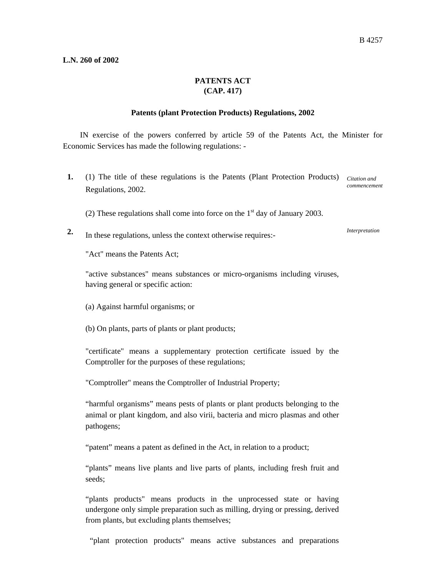## **L.N. 260 of 2002**

## **PATENTS ACT (CAP. 417)**

## **Patents (plant Protection Products) Regulations, 2002**

IN exercise of the powers conferred by article 59 of the Patents Act, the Minister for Economic Services has made the following regulations: -

- 1. (1) The title of these regulations is the Patents (Plant Protection Products) Citation and Regulations, 2002. *commencement* 
	- (2) These regulations shall come into force on the  $1<sup>st</sup>$  day of January 2003.
- **2.** In these regulations, unless the context otherwise requires:-

*Interpretation* 

"Act" means the Patents Act;

"active substances" means substances or micro-organisms including viruses, having general or specific action:

- (a) Against harmful organisms; or
- (b) On plants, parts of plants or plant products;

"certificate" means a supplementary protection certificate issued by the Comptroller for the purposes of these regulations;

"Comptroller" means the Comptroller of Industrial Property;

"harmful organisms" means pests of plants or plant products belonging to the animal or plant kingdom, and also virii, bacteria and micro plasmas and other pathogens;

"patent" means a patent as defined in the Act, in relation to a product;

"plants" means live plants and live parts of plants, including fresh fruit and seeds;

"plants products" means products in the unprocessed state or having undergone only simple preparation such as milling, drying or pressing, derived from plants, but excluding plants themselves;

"plant protection products" means active substances and preparations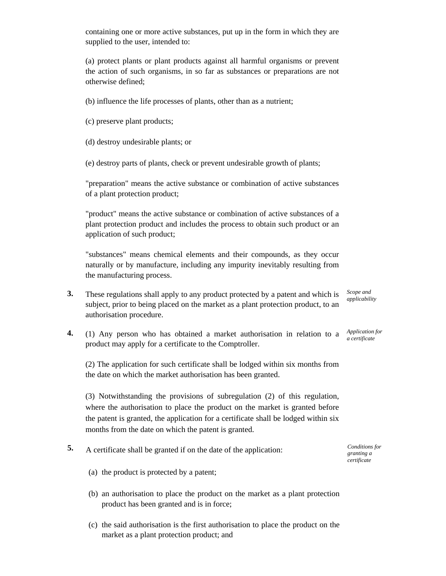containing one or more active substances, put up in the form in which they are supplied to the user, intended to:

(a) protect plants or plant products against all harmful organisms or prevent the action of such organisms, in so far as substances or preparations are not otherwise defined;

(b) influence the life processes of plants, other than as a nutrient;

- (c) preserve plant products;
- (d) destroy undesirable plants; or

(e) destroy parts of plants, check or prevent undesirable growth of plants;

"preparation" means the active substance or combination of active substances of a plant protection product;

"product" means the active substance or combination of active substances of a plant protection product and includes the process to obtain such product or an application of such product;

"substances" means chemical elements and their compounds, as they occur naturally or by manufacture, including any impurity inevitably resulting from the manufacturing process.

- **3.** These regulations shall apply to any product protected by a patent and which is subject, prior to being placed on the market as a plant protection product, to an authorisation procedure.
- **4.** (1) Any person who has obtained a market authorisation in relation to a product may apply for a certificate to the Comptroller.

(2) The application for such certificate shall be lodged within six months from the date on which the market authorisation has been granted.

(3) Notwithstanding the provisions of subregulation (2) of this regulation, where the authorisation to place the product on the market is granted before the patent is granted, the application for a certificate shall be lodged within six months from the date on which the patent is granted.

- **5.** A certificate shall be granted if on the date of the application:
	- (a) the product is protected by a patent;
	- (b) an authorisation to place the product on the market as a plant protection product has been granted and is in force;
	- (c) the said authorisation is the first authorisation to place the product on the market as a plant protection product; and

*Scope and applicability* 

*Application for a certificate* 

*Conditions for granting a certificate*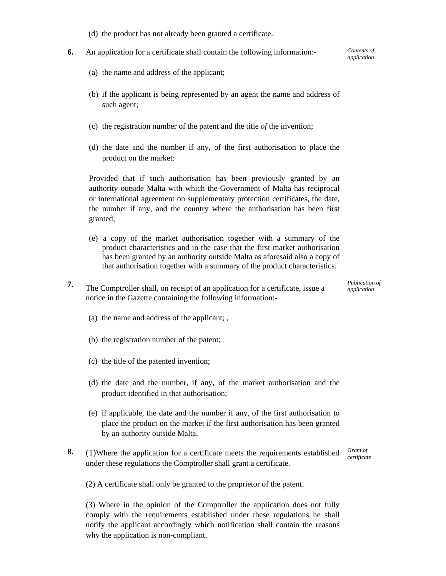- (d) the product has not already been granted a certificate.
- **6.** An application for a certificate shall contain the following information:-
	- (a) the name and address of the applicant;
	- (b) if the applicant is being represented by an agent the name and address of such agent;
	- (c) the registration number of the patent and the title *of* the invention;
	- (d) the date and the number if any, of the first authorisation to place the product on the market:

Provided that if such authorisation has been previously granted by an authority outside Malta with which the Government of Malta has reciprocal or international agreement on supplementary protection certificates, the date, the number if any, and the country where the authorisation has been first granted;

- (e) a copy of the market authorisation together with a summary of the product characteristics and in the case that the first market authorisation has been granted by an authority outside Malta as aforesaid also a copy of that authorisation together with a summary of the product characteristics.
- **7.** The Comptroller shall, on receipt of an application for a certificate, issue a notice in the Gazette containing the following information:-

*Publication of application* 

- (a) the name and address of the applicant; ,
- (b) the registration number of the patent;
- (c) the title of the patented invention;
- (d) the date and the number, if any, of the market authorisation and the product identified in that authorisation;
- (e) if applicable, the date and the number if any, of the first authorisation to place the product on the market if the first authorisation has been granted by an authority outside Malta.
- **8.** (1)Where the application for a certificate meets the requirements established under these regulations the Comptroller shall grant a certificate.

*Grant of certificate* 

(2) A certificate shall only be granted to the proprietor of the patent.

(3) Where in the opinion of the Comptroller the application does not fully comply with the requirements established under these regulations he shall notify the applicant accordingly which notification shall contain the reasons why the application is non-compliant.

*Contents of application*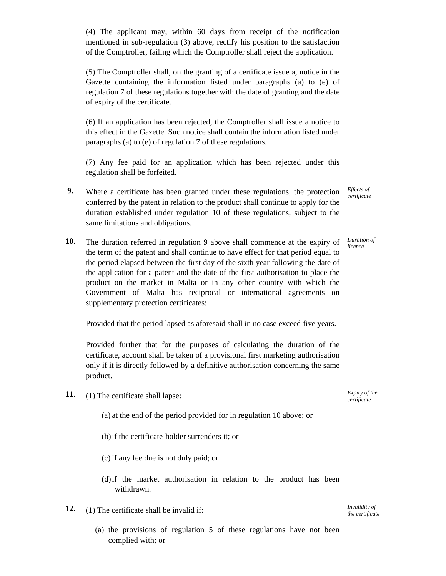(4) The applicant may, within 60 days from receipt of the notification mentioned in sub-regulation (3) above, rectify his position to the satisfaction of the Comptroller, failing which the Comptroller shall reject the application.

(5) The Comptroller shall, on the granting of a certificate issue a, notice in the Gazette containing the information listed under paragraphs (a) to (e) of regulation 7 of these regulations together with the date of granting and the date of expiry of the certificate.

(6) If an application has been rejected, the Comptroller shall issue a notice to this effect in the Gazette. Such notice shall contain the information listed under paragraphs (a) to (e) of regulation 7 of these regulations.

(7) Any fee paid for an application which has been rejected under this regulation shall be forfeited.

- **9.** Where a certificate has been granted under these regulations, the protection conferred by the patent in relation to the product shall continue to apply for the duration established under regulation 10 of these regulations, subject to the same limitations and obligations.
- **10.** The duration referred in regulation 9 above shall commence at the expiry of the term of the patent and shall continue to have effect for that period equal to the period elapsed between the first day of the sixth year following the date of the application for a patent and the date of the first authorisation to place the product on the market in Malta or in any other country with which the Government of Malta has reciprocal or international agreements on supplementary protection certificates:

Provided that the period lapsed as aforesaid shall in no case exceed five years.

Provided further that for the purposes of calculating the duration of the certificate, account shall be taken of a provisional first marketing authorisation only if it is directly followed by a definitive authorisation concerning the same product.

- **11.** (1) The certificate shall lapse:
	- (a) at the end of the period provided for in regulation 10 above; or
	- (b)if the certificate-holder surrenders it; or
	- (c) if any fee due is not duly paid; or
	- (d)if the market authorisation in relation to the product has been withdrawn.
- **12.** (1) The certificate shall be invalid if:
	- (a) the provisions of regulation 5 of these regulations have not been complied with; or

*Expiry of the certificate* 

*Effects of certificate* 

*Duration of licence* 

*Invalidity of the certificate*